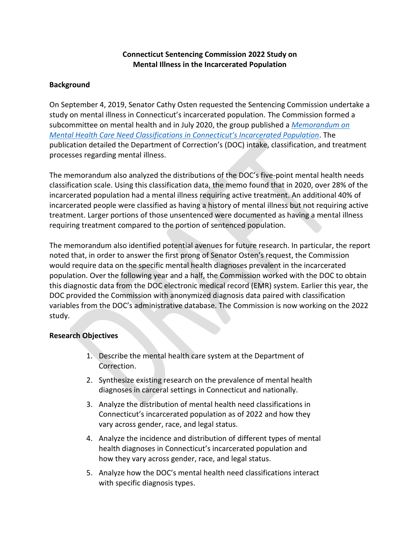## **Connecticut Sentencing Commission 2022 Study on Mental Illness in the Incarcerated Population**

#### **Background**

On September 4, 2019, Senator Cathy Osten requested the Sentencing Commission undertake a study on mental illness in Connecticut's incarcerated population. The Commission formed a subcommittee on mental health and in July 2020, the group published a *[Memorandum on](http://ctsentencingcommission.org/wp-content/uploads/2020/07/Mental-Health-Memo.pdf)  [Mental Health Care Need Classifications in Connecticut's Incarcerated Population](http://ctsentencingcommission.org/wp-content/uploads/2020/07/Mental-Health-Memo.pdf)*. The publication detailed the Department of Correction's (DOC) intake, classification, and treatment processes regarding mental illness.

The memorandum also analyzed the distributions of the DOC's five-point mental health needs classification scale. Using this classification data, the memo found that in 2020, over 28% of the incarcerated population had a mental illness requiring active treatment. An additional 40% of incarcerated people were classified as having a history of mental illness but not requiring active treatment. Larger portions of those unsentenced were documented as having a mental illness requiring treatment compared to the portion of sentenced population.

The memorandum also identified potential avenues for future research. In particular, the report noted that, in order to answer the first prong of Senator Osten's request, the Commission would require data on the specific mental health diagnoses prevalent in the incarcerated population. Over the following year and a half, the Commission worked with the DOC to obtain this diagnostic data from the DOC electronic medical record (EMR) system. Earlier this year, the DOC provided the Commission with anonymized diagnosis data paired with classification variables from the DOC's administrative database. The Commission is now working on the 2022 study.

#### **Research Objectives**

- 1. Describe the mental health care system at the Department of Correction.
- 2. Synthesize existing research on the prevalence of mental health diagnoses in carceral settings in Connecticut and nationally.
- 3. Analyze the distribution of mental health need classifications in Connecticut's incarcerated population as of 2022 and how they vary across gender, race, and legal status.
- 4. Analyze the incidence and distribution of different types of mental health diagnoses in Connecticut's incarcerated population and how they vary across gender, race, and legal status.
- 5. Analyze how the DOC's mental health need classifications interact with specific diagnosis types.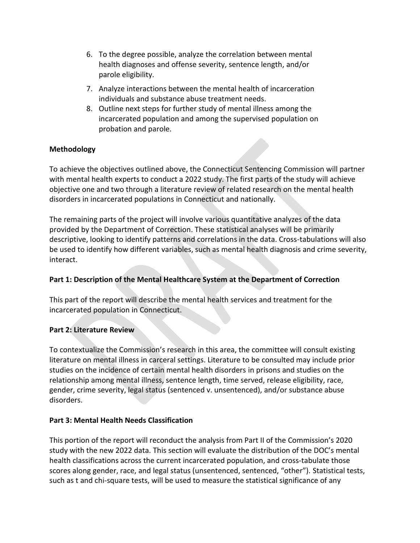- 6. To the degree possible, analyze the correlation between mental health diagnoses and offense severity, sentence length, and/or parole eligibility.
- 7. Analyze interactions between the mental health of incarceration individuals and substance abuse treatment needs.
- 8. Outline next steps for further study of mental illness among the incarcerated population and among the supervised population on probation and parole.

## **Methodology**

To achieve the objectives outlined above, the Connecticut Sentencing Commission will partner with mental health experts to conduct a 2022 study. The first parts of the study will achieve objective one and two through a literature review of related research on the mental health disorders in incarcerated populations in Connecticut and nationally.

The remaining parts of the project will involve various quantitative analyzes of the data provided by the Department of Correction. These statistical analyses will be primarily descriptive, looking to identify patterns and correlations in the data. Cross-tabulations will also be used to identify how different variables, such as mental health diagnosis and crime severity, interact.

## **Part 1: Description of the Mental Healthcare System at the Department of Correction**

This part of the report will describe the mental health services and treatment for the incarcerated population in Connecticut.

## **Part 2: Literature Review**

To contextualize the Commission's research in this area, the committee will consult existing literature on mental illness in carceral settings. Literature to be consulted may include prior studies on the incidence of certain mental health disorders in prisons and studies on the relationship among mental illness, sentence length, time served, release eligibility, race, gender, crime severity, legal status (sentenced v. unsentenced), and/or substance abuse disorders.

## **Part 3: Mental Health Needs Classification**

This portion of the report will reconduct the analysis from Part II of the Commission's 2020 study with the new 2022 data. This section will evaluate the distribution of the DOC's mental health classifications across the current incarcerated population, and cross-tabulate those scores along gender, race, and legal status (unsentenced, sentenced, "other"). Statistical tests, such as t and chi-square tests, will be used to measure the statistical significance of any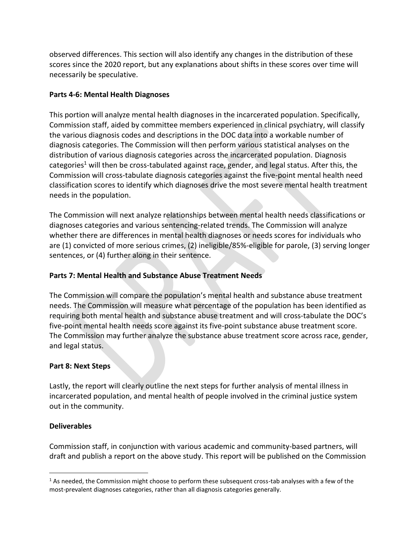observed differences. This section will also identify any changes in the distribution of these scores since the 2020 report, but any explanations about shifts in these scores over time will necessarily be speculative.

## **Parts 4-6: Mental Health Diagnoses**

This portion will analyze mental health diagnoses in the incarcerated population. Specifically, Commission staff, aided by committee members experienced in clinical psychiatry, will classify the various diagnosis codes and descriptions in the DOC data into a workable number of diagnosis categories. The Commission will then perform various statistical analyses on the distribution of various diagnosis categories across the incarcerated population. Diagnosis categories<sup>1</sup> will then be cross-tabulated against race, gender, and legal status. After this, the Commission will cross-tabulate diagnosis categories against the five-point mental health need classification scores to identify which diagnoses drive the most severe mental health treatment needs in the population.

The Commission will next analyze relationships between mental health needs classifications or diagnoses categories and various sentencing-related trends. The Commission will analyze whether there are differences in mental health diagnoses or needs scores for individuals who are (1) convicted of more serious crimes, (2) ineligible/85%-eligible for parole, (3) serving longer sentences, or (4) further along in their sentence.

# **Parts 7: Mental Health and Substance Abuse Treatment Needs**

The Commission will compare the population's mental health and substance abuse treatment needs. The Commission will measure what percentage of the population has been identified as requiring both mental health and substance abuse treatment and will cross-tabulate the DOC's five-point mental health needs score against its five-point substance abuse treatment score. The Commission may further analyze the substance abuse treatment score across race, gender, and legal status.

## **Part 8: Next Steps**

Lastly, the report will clearly outline the next steps for further analysis of mental illness in incarcerated population, and mental health of people involved in the criminal justice system out in the community.

## **Deliverables**

Commission staff, in conjunction with various academic and community-based partners, will draft and publish a report on the above study. This report will be published on the Commission

 $1$  As needed, the Commission might choose to perform these subsequent cross-tab analyses with a few of the most-prevalent diagnoses categories, rather than all diagnosis categories generally.